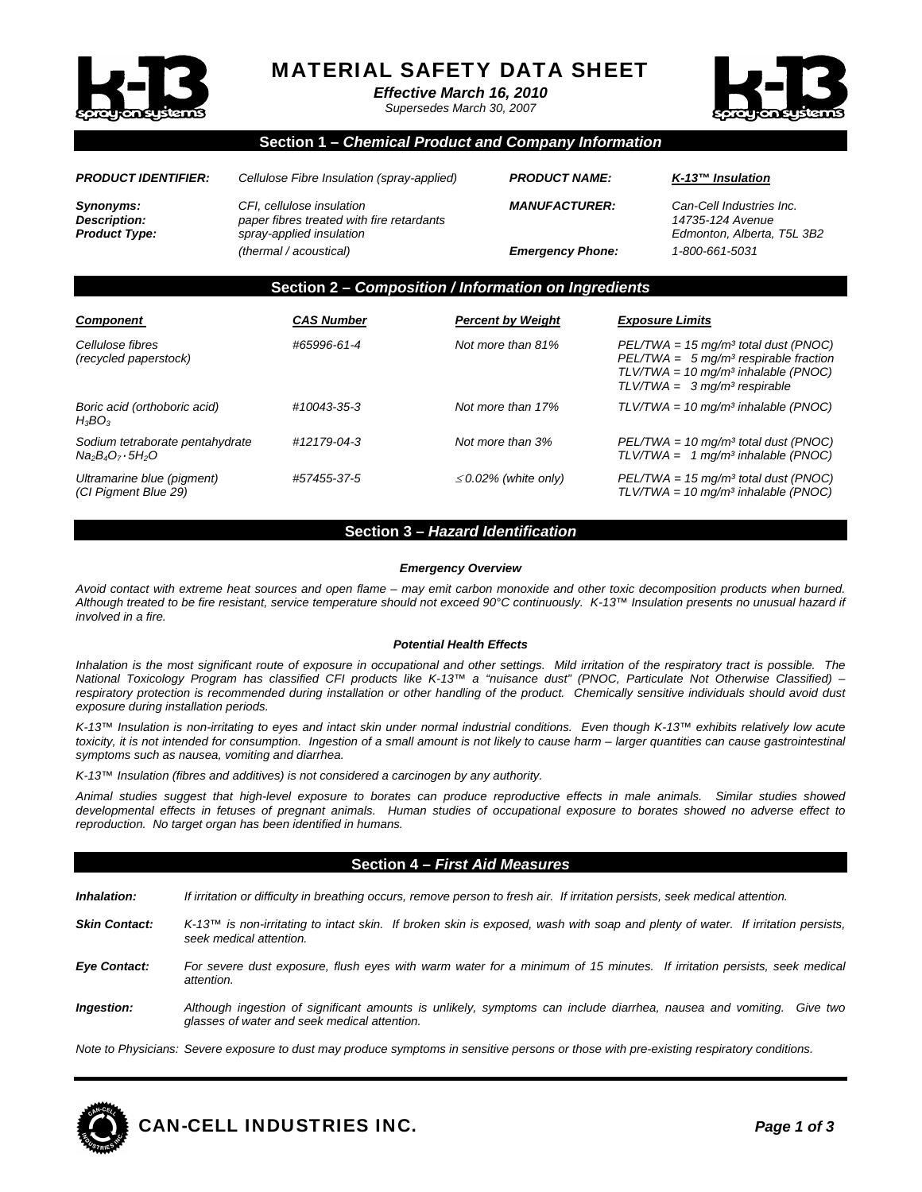

# MATERIAL SAFETY DATA SHEET

*Effective March 16, 2010* 

*Supersedes March 30, 2007* 



# **Section 1 –** *Chemical Product and Company Information*

| <b>PRODUCT IDENTIFIER:</b>                               | Cellulose Fibre Insulation (spray-applied)                                                                                   | <b>PRODUCT NAME:</b>                            | $K$ -13™ Insulation                                                                          |
|----------------------------------------------------------|------------------------------------------------------------------------------------------------------------------------------|-------------------------------------------------|----------------------------------------------------------------------------------------------|
| Synonyms:<br><b>Description:</b><br><b>Product Type:</b> | CFI, cellulose insulation<br>paper fibres treated with fire retardants<br>spray-applied insulation<br>(thermal / acoustical) | <b>MANUFACTURER:</b><br><b>Emergency Phone:</b> | Can-Cell Industries Inc.<br>14735-124 Avenue<br>Edmonton, Alberta, T5L 3B2<br>1-800-661-5031 |
|                                                          | Section 2 - Composition / Information on Ingredients                                                                         |                                                 |                                                                                              |

| <b>Component</b>                                            | <b>CAS Number</b> | <b>Percent by Weight</b>  | <b>Exposure Limits</b>                                                                                                                                                   |
|-------------------------------------------------------------|-------------------|---------------------------|--------------------------------------------------------------------------------------------------------------------------------------------------------------------------|
| Cellulose fibres<br>(recycled paperstock)                   | #65996-61-4       | Not more than 81%         | $PEL/TWA = 15$ mg/m <sup>3</sup> total dust (PNOC)<br>$PEL/TWA = 5 mg/m3$ respirable fraction<br>$TLV/TWA = 10 mg/m3 inhalable (PNOC)$<br>$TLV/TWA = 3 mg/m3$ respirable |
| Boric acid (orthoboric acid)<br>$H_3BO_3$                   | #10043-35-3       | Not more than 17%         | $TLV/TWA = 10$ mg/m <sup>3</sup> inhalable (PNOC)                                                                                                                        |
| Sodium tetraborate pentahydrate<br>$Na_2B_4O_7 \cdot 5H_2O$ | #12179-04-3       | Not more than 3%          | $PEL/TWA = 10$ mg/m <sup>3</sup> total dust (PNOC)<br>$TLV/TWA = 1 mg/m3 inhalable (PNOC)$                                                                               |
| Ultramarine blue (pigment)<br>(CI Pigment Blue 29)          | #57455-37-5       | $\leq$ 0.02% (white only) | $PEL/TWA = 15$ mg/m <sup>3</sup> total dust (PNOC)<br>$TLV/TWA = 10$ mg/m <sup>3</sup> inhalable (PNOC)                                                                  |

#### **Section 3 –** *Hazard Identification*

#### *Emergency Overview*

*Avoid contact with extreme heat sources and open flame – may emit carbon monoxide and other toxic decomposition products when burned. Although treated to be fire resistant, service temperature should not exceed 90°C continuously. K-13™ Insulation presents no unusual hazard if involved in a fire.* 

#### *Potential Health Effects*

Inhalation is the most significant route of exposure in occupational and other settings. Mild irritation of the respiratory tract is possible. The *National Toxicology Program has classified CFI products like K-13™ a "nuisance dust" (PNOC, Particulate Not Otherwise Classified) – respiratory protection is recommended during installation or other handling of the product. Chemically sensitive individuals should avoid dust exposure during installation periods.* 

*K-13™ Insulation is non-irritating to eyes and intact skin under normal industrial conditions. Even though K-13™ exhibits relatively low acute*  toxicity, it is not intended for consumption. Ingestion of a small amount is not likely to cause harm – larger quantities can cause gastrointestinal *symptoms such as nausea, vomiting and diarrhea.* 

*K-13™ Insulation (fibres and additives) is not considered a carcinogen by any authority.* 

*Animal studies suggest that high-level exposure to borates can produce reproductive effects in male animals. Similar studies showed developmental effects in fetuses of pregnant animals. Human studies of occupational exposure to borates showed no adverse effect to reproduction. No target organ has been identified in humans.* 

# **Section 4 –** *First Aid Measures*

*Inhalation: If irritation or difficulty in breathing occurs, remove person to fresh air. If irritation persists, seek medical attention.* 

- *Skin Contact: K-13™ is non-irritating to intact skin. If broken skin is exposed, wash with soap and plenty of water. If irritation persists, seek medical attention.*
- *Eye Contact: For severe dust exposure, flush eyes with warm water for a minimum of 15 minutes. If irritation persists, seek medical attention.*
- *Ingestion: Although ingestion of significant amounts is unlikely, symptoms can include diarrhea, nausea and vomiting. Give two glasses of water and seek medical attention.*

*Note to Physicians: Severe exposure to dust may produce symptoms in sensitive persons or those with pre-existing respiratory conditions.* 

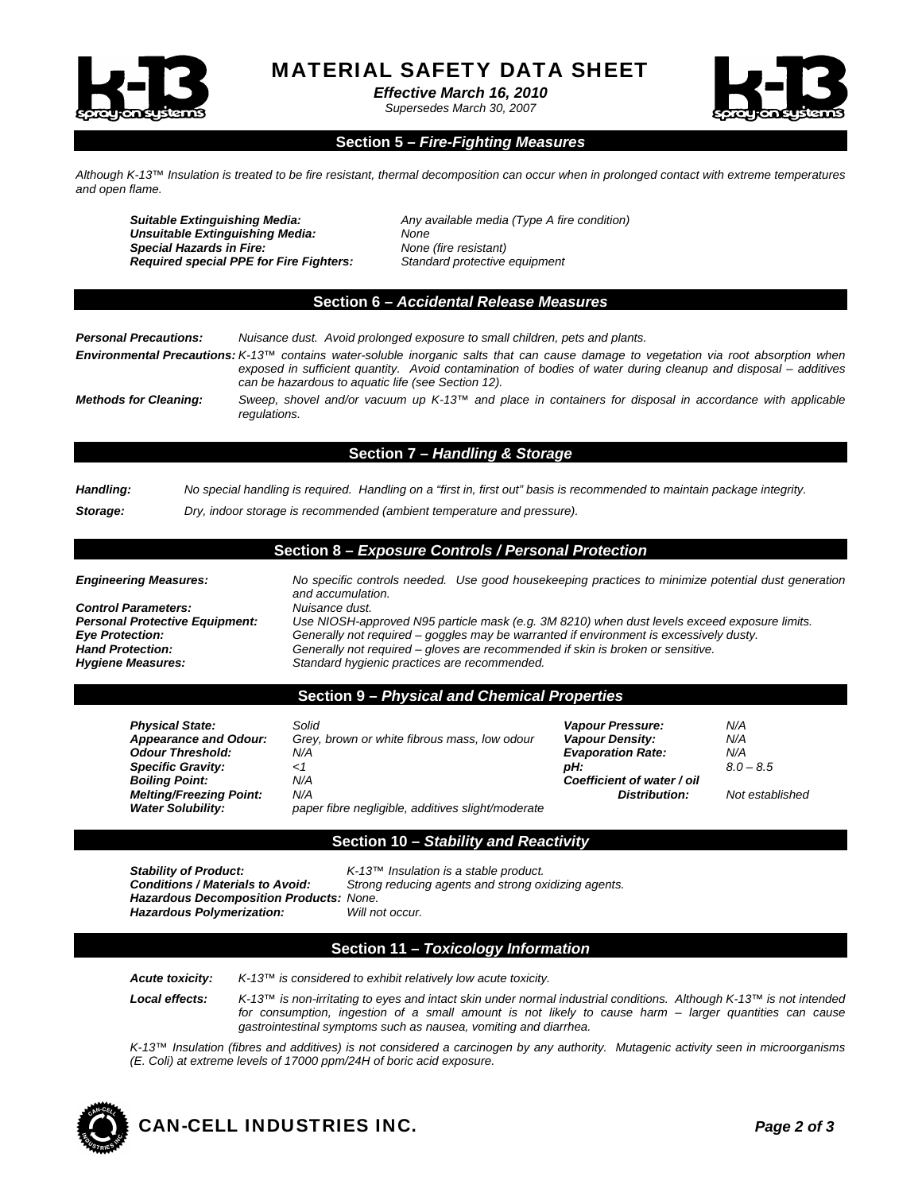

MATERIAL SAFETY DATA SHEET

*Effective March 16, 2010* 

*Supersedes March 30, 2007* 



### **Section 5 –** *Fire-Fighting Measures*

*Although K-13™ Insulation is treated to be fire resistant, thermal decomposition can occur when in prolonged contact with extreme temperatures and open flame.* 

*Suitable Extinguishing Media: Any available media (Type A fire condition) Unsuitable Extinguishing Media: None Special Hazards in Fire: None (fire resistant) Required special PPE for Fire Fighters: Standard protective equipment* 

#### **Section 6 –** *Accidental Release Measures*

| <b>Personal Precautions:</b> | Nuisance dust. Avoid prolonged exposure to small children, pets and plants.                                                                                                                                                                                                                                         |
|------------------------------|---------------------------------------------------------------------------------------------------------------------------------------------------------------------------------------------------------------------------------------------------------------------------------------------------------------------|
|                              | <b>Environmental Precautions:</b> K-13™ contains water-soluble inorganic salts that can cause damage to vegetation via root absorption when<br>exposed in sufficient quantity. Avoid contamination of bodies of water during cleanup and disposal – additives<br>can be hazardous to aquatic life (see Section 12). |
| <b>Methods for Cleaning:</b> | Sweep, shovel and/or vacuum up K-13 <sup>TM</sup> and place in containers for disposal in accordance with applicable<br>regulations.                                                                                                                                                                                |

## **Section 7 –** *Handling & Storage*

| Handling: | No special handling is required. Handling on a "first in, first out" basis is recommended to maintain package integrity. |
|-----------|--------------------------------------------------------------------------------------------------------------------------|
| Storage:  | Dry, indoor storage is recommended (ambient temperature and pressure).                                                   |

## **Section 8 –** *Exposure Controls / Personal Protection*

*Control Parameters: Nuisance dust. Hygiene Measures: Standard hygienic practices are recommended.* 

*Engineering Measures: No specific controls needed. Use good housekeeping practices to minimize potential dust generation and accumulation. Personal Protective Equipment: Use NIOSH-approved N95 particle mask (e.g. 3M 8210) when dust levels exceed exposure limits. Generally not required – goggles may be warranted if environment is excessively dusty. Hand Protection: Generally not required – gloves are recommended if skin is broken or sensitive.* 

#### **Section 9 –** *Physical and Chemical Properties*

| <b>Physical State:</b>         | Solid                                             | <b>Vapour Pressure:</b>    | N/A             |
|--------------------------------|---------------------------------------------------|----------------------------|-----------------|
| <b>Appearance and Odour:</b>   | Grey, brown or white fibrous mass, low odour      | <b>Vapour Density:</b>     | N/A             |
| <b>Odour Threshold:</b>        | N/A                                               | <b>Evaporation Rate:</b>   | N/A             |
| <b>Specific Gravity:</b>       | <1                                                | pH:                        | $8.0 - 8.5$     |
| <b>Boiling Point:</b>          | N/A                                               | Coefficient of water / oil |                 |
| <b>Melting/Freezing Point:</b> | N/A                                               | Distribution:              | Not established |
| <b>Water Solubility:</b>       | paper fibre negligible, additives slight/moderate |                            |                 |

## **Section 10 –** *Stability and Reactivity*

*Stability of Product: K-13™ Insulation is a stable product. Hazardous Decomposition Products: None. Hazardous Polymerization: Will not occur.* 

*Conditions reducing agents and strong oxidizing agents.* 

#### **Section 11 –** *Toxicology Information*

*Acute toxicity: K-13™ is considered to exhibit relatively low acute toxicity.* 

*Local effects: K-13™ is non-irritating to eyes and intact skin under normal industrial conditions. Although K-13™ is not intended for consumption, ingestion of a small amount is not likely to cause harm – larger quantities can cause gastrointestinal symptoms such as nausea, vomiting and diarrhea.* 

*K-13™ Insulation (fibres and additives) is not considered a carcinogen by any authority. Mutagenic activity seen in microorganisms (E. Coli) at extreme levels of 17000 ppm/24H of boric acid exposure.*